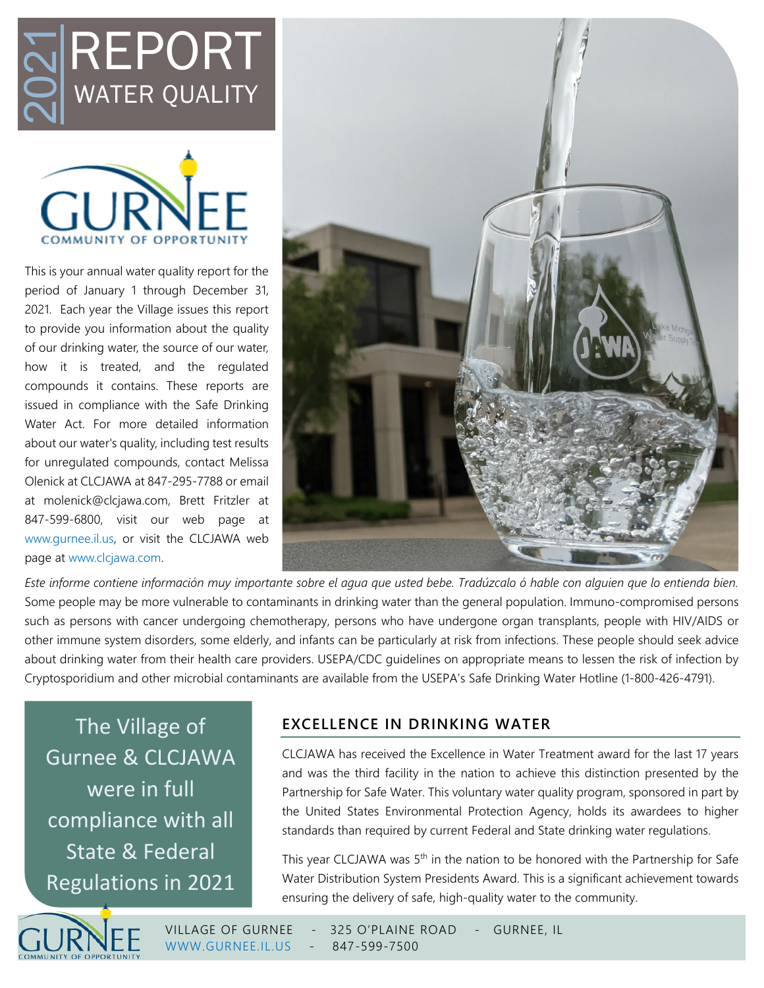



This is your annual water quality report for the period of January 1 through December 31, 2021. Each year the Village issues this report to provide you information about the quality of our drinking water, the source of our water, how it is treated, and the regulated compounds it contains. These reports are issued in compliance with the Safe Drinking Water Act. For more detailed information about our water's quality, including test results for unregulated compounds, contact Melissa Olenick at CLCJAWA at 847-295-7788 or email at molenick@clcjawa.com, Brett Fritzler at 847-599-6800, visit our web page at [www.gurnee.il.us,](file://ad-srv1.village.gurnee.il.us/PW/Utility%20Dept/CCR%20Report/2022/www.gurnee.il.us) or visit the CLCJAWA web page at [www.clcjawa.com.](http://www.clcjawa.com/) REPORTUNE<br>
MATER QUALI<br>
This is your annual water quality report<br>
2021. Each year at the Village issues this<br>
2021. Each year the Village issues this<br>
2021. Each year the Village issues this<br>
co provide you information abo



*Este informe contiene informaciόn muy importante sobre el agua que usted bebe. Tradúzcalo ό hable con alguien que lo entienda bien.* Some people may be more vulnerable to contaminants in drinking water than the general population. Immuno-compromised persons such as persons with cancer undergoing chemotherapy, persons who have undergone organ transplants, people with HIV/AIDS or other immune system disorders, some elderly, and infants can be particularly at risk from infections. These people should seek advice about drinking water from their health care providers. USEPA/CDC guidelines on appropriate means to lessen the risk of infection by Cryptosporidium and other microbial contaminants are available from the USEPA's Safe Drinking Water Hotline (1-800-426-4791).

The Village of Gurnee & CLCJAWA were in full compliance with all State & Federal

## **EXCELLENCE IN DRINKING WATER**

CLCJAWA has received the Excellence in Water Treatment award for the last 17 years and was the third facility in the nation to achieve this distinction presented by the Partnership for Safe Water. This voluntary water quality program, sponsored in part by the United States Environmental Protection Agency, holds its awardees to higher standards than required by current Federal and State drinking water regulations.

This year CLCJAWA was 5<sup>th</sup> in the nation to be honored with the Partnership for Safe Water Distribution System Presidents Award. This is a significant achievement towards ensuring the delivery of safe, high-quality water to the community.



VILLAGE OF GURNEE - 325 O'PLAINE ROAD - GURNEE, IL [WWW.GURNEE.IL.US](http://www.gurnee.il.us/) - 847-599-7500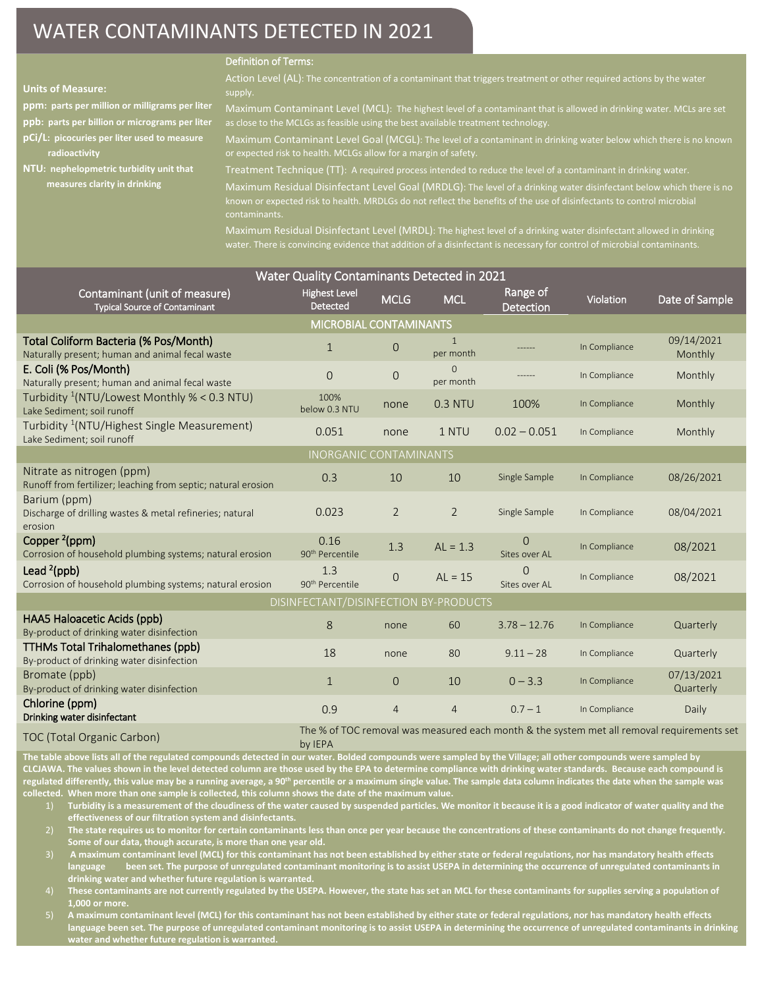# WATER CONTAMINANTS DETECTED IN 2021

#### Definition of Terms:

| <b>Units of Measure:</b>                                                | Action Level (AL): The concentration of a contaminant that triggers treatment or other required actions by the water<br>supply.                                                                                                                                                                                                                                                 |
|-------------------------------------------------------------------------|---------------------------------------------------------------------------------------------------------------------------------------------------------------------------------------------------------------------------------------------------------------------------------------------------------------------------------------------------------------------------------|
| ppm: parts per million or milligrams per liter                          | Maximum Contaminant Level (MCL): The highest level of a contaminant that is allowed in drinking water. MCLs are set                                                                                                                                                                                                                                                             |
| ppb: parts per billion or micrograms per liter                          | as close to the MCLGs as feasible using the best available treatment technology.                                                                                                                                                                                                                                                                                                |
| pCi/L: picocuries per liter used to measure                             | Maximum Contaminant Level Goal (MCGL): The level of a contaminant in drinking water below which there is no known                                                                                                                                                                                                                                                               |
| radioactivity                                                           | or expected risk to health. MCLGs allow for a margin of safety.                                                                                                                                                                                                                                                                                                                 |
| NTU: nephelopmetric turbidity unit that<br>measures clarity in drinking | Treatment Technique (TT): A required process intended to reduce the level of a contaminant in drinking water.<br>Maximum Residual Disinfectant Level Goal (MRDLG): The level of a drinking water disinfectant below which there is no<br>known or expected risk to health. MRDLGs do not reflect the benefits of the use of disinfectants to control microbial<br>contaminants. |

water. There is convincing evidence that addition of a disinfectant is necessary for control of microbial contaminants.

| Water Quality Contaminants Detected in 2021                                                |                                     |                |                           |                                      |               |                                                                                            |  |
|--------------------------------------------------------------------------------------------|-------------------------------------|----------------|---------------------------|--------------------------------------|---------------|--------------------------------------------------------------------------------------------|--|
| Contaminant (unit of measure)<br><b>Typical Source of Contaminant</b>                      | <b>Highest Level</b><br>Detected    | <b>MCLG</b>    | <b>MCL</b>                | Range of<br>Detection                | Violation     | Date of Sample                                                                             |  |
| MICROBIAL CONTAMINANTS                                                                     |                                     |                |                           |                                      |               |                                                                                            |  |
| Total Coliform Bacteria (% Pos/Month)<br>Naturally present; human and animal fecal waste   | $\mathbf{1}$                        | $\mathbf 0$    | $\mathbf{1}$<br>per month |                                      | In Compliance | 09/14/2021<br>Monthly                                                                      |  |
| E. Coli (% Pos/Month)<br>Naturally present; human and animal fecal waste                   | $\Omega$                            | $\mathbf{O}$   | $\Omega$<br>per month     |                                      | In Compliance | Monthly                                                                                    |  |
| Turbidity <sup>1</sup> (NTU/Lowest Monthly % < 0.3 NTU)<br>Lake Sediment; soil runoff      | 100%<br>below 0.3 NTU               | none           | 0.3 NTU                   | 100%                                 | In Compliance | Monthly                                                                                    |  |
| Turbidity <sup>1</sup> (NTU/Highest Single Measurement)<br>Lake Sediment; soil runoff      | 0.051                               | none           | 1 NTU                     | $0.02 - 0.051$                       | In Compliance | Monthly                                                                                    |  |
|                                                                                            | <b>INORGANIC CONTAMINANTS</b>       |                |                           |                                      |               |                                                                                            |  |
| Nitrate as nitrogen (ppm)<br>Runoff from fertilizer; leaching from septic; natural erosion | 0.3                                 | 10             | 10                        | Single Sample                        | In Compliance | 08/26/2021                                                                                 |  |
| Barium (ppm)<br>Discharge of drilling wastes & metal refineries; natural<br>erosion        | 0.023                               | 2              | 2                         | Single Sample                        | In Compliance | 08/04/2021                                                                                 |  |
| Copper $2$ (ppm)<br>Corrosion of household plumbing systems; natural erosion               | 0.16<br>90 <sup>th</sup> Percentile | 1.3            | $AL = 1.3$                | $\mathsf{O}\xspace$<br>Sites over AL | In Compliance | 08/2021                                                                                    |  |
| Lead $2$ (ppb)<br>Corrosion of household plumbing systems; natural erosion                 | 1.3<br>90 <sup>th</sup> Percentile  | 0              | $AL = 15$                 | $\Omega$<br>Sites over AL            | In Compliance | 08/2021                                                                                    |  |
| DISINFECTANT/DISINFECTION BY-PRODUCTS                                                      |                                     |                |                           |                                      |               |                                                                                            |  |
| HAA5 Haloacetic Acids (ppb)<br>By-product of drinking water disinfection                   | 8                                   | none           | 60                        | $3.78 - 12.76$                       | In Compliance | Quarterly                                                                                  |  |
| <b>TTHMs Total Trihalomethanes (ppb)</b><br>By-product of drinking water disinfection      | 18                                  | none           | 80                        | $9.11 - 28$                          | In Compliance | Quarterly                                                                                  |  |
| Bromate (ppb)<br>By-product of drinking water disinfection                                 | $\mathbf{1}$                        | $\Omega$       | 10                        | $0 - 3.3$                            | In Compliance | 07/13/2021<br>Quarterly                                                                    |  |
| Chlorine (ppm)<br>Drinking water disinfectant                                              | 0.9                                 | $\overline{4}$ | $\overline{4}$            | $0.7 - 1$                            | In Compliance | Daily                                                                                      |  |
| TOC (Total Organic Carbon)                                                                 |                                     |                |                           |                                      |               | The % of TOC removal was measured each month & the system met all removal requirements set |  |

by IEPA

**The table above lists all of the regulated compounds detected in our water. Bolded compounds were sampled by the Village; all other compounds were sampled by CLCJAWA. The values shown in the level detected column are those used by the EPA to determine compliance with drinking water standards. Because each compound is regulated differently, this value may be a running average, a 90th percentile or a maximum single value. The sample data column indicates the date when the sample was collected. When more than one sample is collected, this column shows the date of the maximum value.** 

1) **Turbidity is a measurement of the cloudiness of the water caused by suspended particles. We monitor it because it is a good indicator of water quality and the effectiveness of our filtration system and disinfectants.** 

2) **The state requires us to monitor for certain contaminants less than once per year because the concentrations of these contaminants do not change frequently. Some of our data, though accurate, is more than one year old.**

3) **A maximum contaminant level (MCL) for this contaminant has not been established by either state or federal regulations, nor has mandatory health effects language been set. The purpose of unregulated contaminant monitoring is to assist USEPA in determining the occurrence of unregulated contaminants in drinking water and whether future regulation is warranted.**

4) **These contaminants are not currently regulated by the USEPA. However, the state has set an MCL for these contaminants for supplies serving a population of 1,000 or more.**

5) **A maximum contaminant level (MCL) for this contaminant has not been established by either state or federal regulations, nor has mandatory health effects language been set. The purpose of unregulated contaminant monitoring is to assist USEPA in determining the occurrence of unregulated contaminants in drinking water and whether future regulation is warranted.**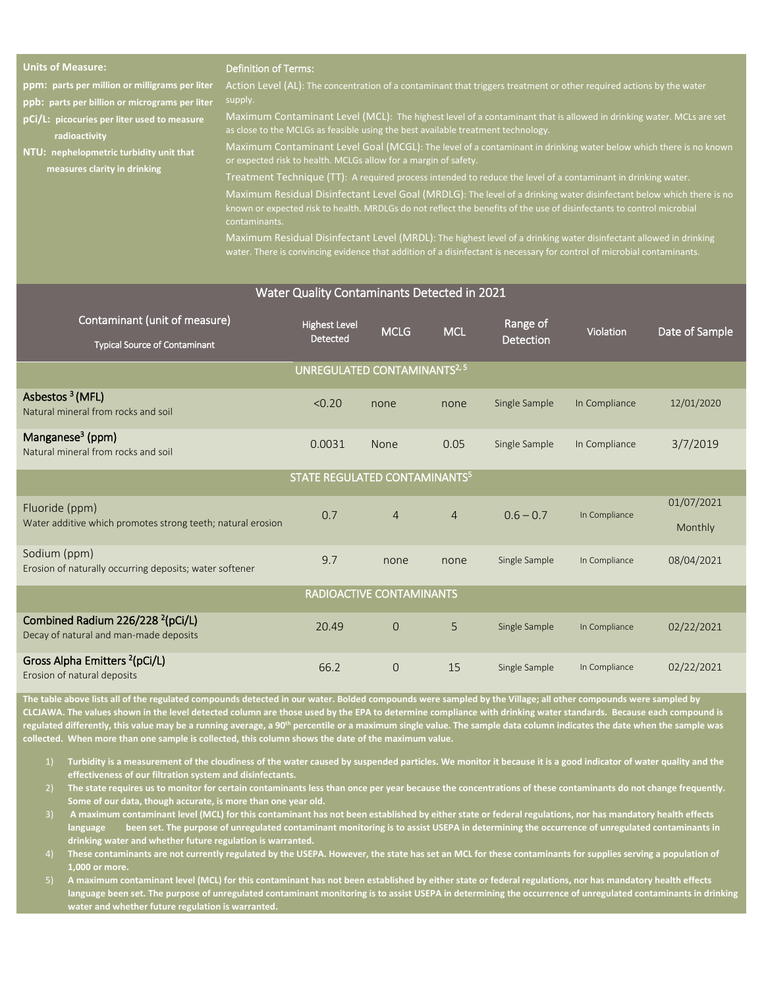| <b>Units of Measure:</b> |  |  |  |
|--------------------------|--|--|--|
|                          |  |  |  |
|                          |  |  |  |
|                          |  |  |  |

#### Definition of Terms:

**ppm: parts per million or milligrams per liter**

**ppb: parts per billion or micrograms per liter**

**pCi/L: picocuries per liter used to measure radioactivity**

**NTU: nephelopmetric turbidity unit that measures clarity in drinking**

supply.

Maximum Contaminant Level (MCL): The highest level of a contaminant that is allowed in drinking water. MCLs are set as close to the MCLGs as feasible using the best available treatment technology.

Maximum Contaminant Level Goal (MCGL): The level of a contaminant in drinking water below which there is no known or expected risk to health. MCLGs allow for a margin of safety.

Treatment Technique (TT): A required process intended to reduce the level of a contaminant in drinking water.

known or expected risk to health. MRDLGs do not reflect the benefits of the use of disinfectants to control microbial<br>contaminants Maximum Residual Disinfectant Level Goal (MRDLG): The level of a drinking water disinfectant below which there is no

Maximum Residual Disinfectant Level (MRDL): The highest level of a drinking water disinfectant allowed in drinking water. There is convincing evidence that addition of a disinfectant is necessary for control of microbial contaminants.

### Water Quality Contaminants Detected in 2021

| Contaminant (unit of measure)<br><b>Typical Source of Contaminant</b>                  | <b>Highest Level</b><br><b>Detected</b>   | <b>MCLG</b>    | <b>MCL</b>     | Range of<br>Detection | Violation     | Date of Sample        |  |
|----------------------------------------------------------------------------------------|-------------------------------------------|----------------|----------------|-----------------------|---------------|-----------------------|--|
| UNREGULATED CONTAMINANTS <sup>2, 5</sup>                                               |                                           |                |                |                       |               |                       |  |
| Asbestos <sup>3</sup> (MFL)<br>Natural mineral from rocks and soil                     | < 0.20                                    | none           | none           | Single Sample         | In Compliance | 12/01/2020            |  |
| Manganese <sup>3</sup> (ppm)<br>Natural mineral from rocks and soil                    | 0.0031                                    | None           | 0.05           | Single Sample         | In Compliance | 3/7/2019              |  |
|                                                                                        | STATE REGULATED CONTAMINANTS <sup>5</sup> |                |                |                       |               |                       |  |
| Fluoride (ppm)<br>Water additive which promotes strong teeth; natural erosion          | 0.7                                       | $\overline{4}$ | $\overline{4}$ | $0.6 - 0.7$           | In Compliance | 01/07/2021<br>Monthly |  |
| Sodium (ppm)<br>Erosion of naturally occurring deposits; water softener                | 9.7                                       | none           | none           | Single Sample         | In Compliance | 08/04/2021            |  |
| RADIOACTIVE CONTAMINANTS                                                               |                                           |                |                |                       |               |                       |  |
| Combined Radium 226/228 <sup>2</sup> (pCi/L)<br>Decay of natural and man-made deposits | 20.49                                     | $\Omega$       | 5              | Single Sample         | In Compliance | 02/22/2021            |  |
| Gross Alpha Emitters <sup>2</sup> (pCi/L)<br>Erosion of natural deposits               | 66.2                                      | $\overline{0}$ | 15             | Single Sample         | In Compliance | 02/22/2021            |  |

**The table above lists all of the regulated compounds detected in our water. Bolded compounds were sampled by the Village; all other compounds were sampled by CLCJAWA. The values shown in the level detected column are those used by the EPA to determine compliance with drinking water standards. Because each compound is**  regulated differently, this value may be a running average, a 90<sup>th</sup> percentile or a maximum single value. The sample data column indicates the date when the sample was **collected. When more than one sample is collected, this column shows the date of the maximum value.** 

- 1) **Turbidity is a measurement of the cloudiness of the water caused by suspended particles. We monitor it because it is a good indicator of water quality and the effectiveness of our filtration system and disinfectants.**
- 2) **The state requires us to monitor for certain contaminants less than once per year because the concentrations of these contaminants do not change frequently. Some of our data, though accurate, is more than one year old.**
- 3) **A maximum contaminant level (MCL) for this contaminant has not been established by either state or federal regulations, nor has mandatory health effects language been set. The purpose of unregulated contaminant monitoring is to assist USEPA in determining the occurrence of unregulated contaminants in drinking water and whether future regulation is warranted.**
- 4) **These contaminants are not currently regulated by the USEPA. However, the state has set an MCL for these contaminants for supplies serving a population of 1,000 or more.**
- 5) **A maximum contaminant level (MCL) for this contaminant has not been established by either state or federal regulations, nor has mandatory health effects**  language been set. The purpose of unregulated contaminant monitoring is to assist USEPA in determining the occurrence of unregulated contaminants in drinking **water and whether future regulation is warranted.**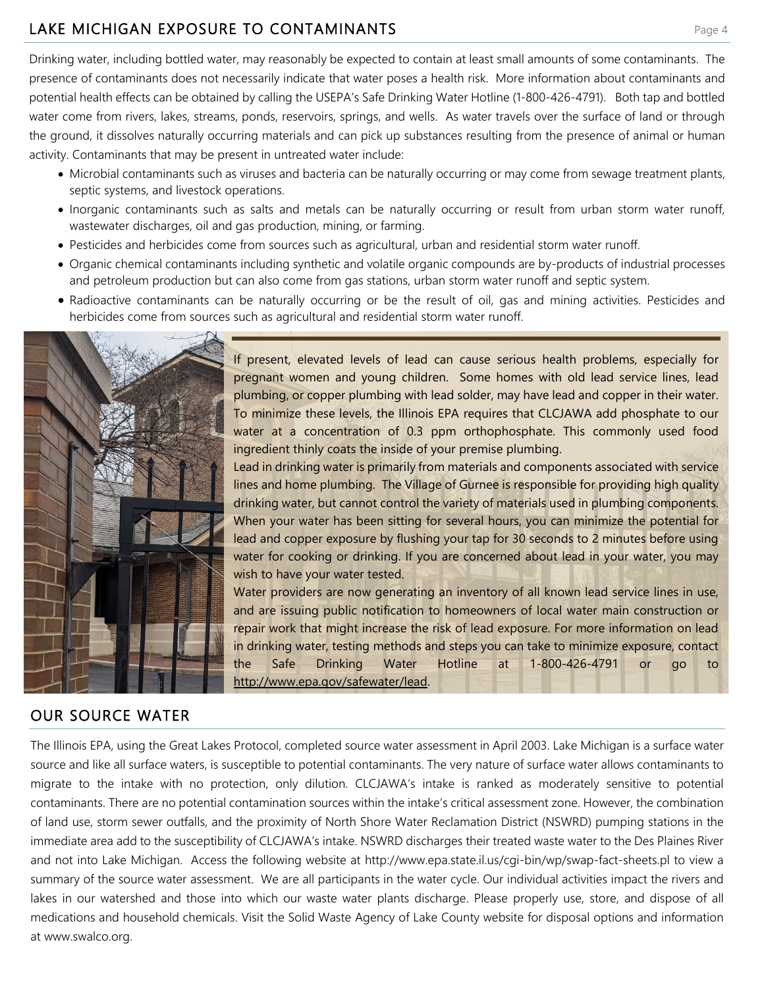# LAKE MICHIGAN EXPOSURE TO CONTAMINANTS **Example 24 and 5 and 5 and 7 and 7 and 7 and 7 and 7 and 7 and 7 and 7 and 7 and 7 and 7 and 7 and 7 and 7 and 7 and 7 and 7 and 7 and 7 and 7 and 7 and 7 and 7 and 7 and 7 and 7 and**

Drinking water, including bottled water, may reasonably be expected to contain at least small amounts of some contaminants. The presence of contaminants does not necessarily indicate that water poses a health risk. More information about contaminants and potential health effects can be obtained by calling the USEPA's Safe Drinking Water Hotline (1-800-426-4791). Both tap and bottled water come from rivers, lakes, streams, ponds, reservoirs, springs, and wells. As water travels over the surface of land or through the ground, it dissolves naturally occurring materials and can pick up substances resulting from the presence of animal or human activity. Contaminants that may be present in untreated water include:

- Microbial contaminants such as viruses and bacteria can be naturally occurring or may come from sewage treatment plants, septic systems, and livestock operations.
- Inorganic contaminants such as salts and metals can be naturally occurring or result from urban storm water runoff, wastewater discharges, oil and gas production, mining, or farming.
- Pesticides and herbicides come from sources such as agricultural, urban and residential storm water runoff.
- Organic chemical contaminants including synthetic and volatile organic compounds are by-products of industrial processes and petroleum production but can also come from gas stations, urban storm water runoff and septic system.
- Radioactive contaminants can be naturally occurring or be the result of oil, gas and mining activities. Pesticides and herbicides come from sources such as agricultural and residential storm water runoff.



#### OUR SOURCE WATER

If present, elevated levels of lead can cause serious health problems, especially for pregnant women and young children. Some homes with old lead service lines, lead plumbing, or copper plumbing with lead solder, may have lead and copper in their water. To minimize these levels, the Illinois EPA requires that CLCJAWA add phosphate to our water at a concentration of 0.3 ppm orthophosphate. This commonly used food ingredient thinly coats the inside of your premise plumbing.

Lead in drinking water is primarily from materials and components associated with service lines and home plumbing. The Village of Gurnee is responsible for providing high quality drinking water, but cannot control the variety of materials used in plumbing components. When your water has been sitting for several hours, you can minimize the potential for lead and copper exposure by flushing your tap for 30 seconds to 2 minutes before using water for cooking or drinking. If you are concerned about lead in your water, you may wish to have your water tested.

Water providers are now generating an inventory of all known lead service lines in use, and are issuing public notification to homeowners of local water main construction or repair work that might increase the risk of lead exposure. For more information on lead in drinking water, testing methods and steps you can take to minimize exposure, contact the Safe Drinking Water Hotline at 1-800-426-4791 or go to [http://www.epa.gov/safewater/lead.](http://www.epa.gov/safewater/lead)

The Illinois EPA, using the Great Lakes Protocol, completed source water assessment in April 2003. Lake Michigan is a surface water source and like all surface waters, is susceptible to potential contaminants. The very nature of surface water allows contaminants to migrate to the intake with no protection, only dilution. CLCJAWA's intake is ranked as moderately sensitive to potential contaminants. There are no potential contamination sources within the intake's critical assessment zone. However, the combination of land use, storm sewer outfalls, and the proximity of North Shore Water Reclamation District (NSWRD) pumping stations in the immediate area add to the susceptibility of CLCJAWA's intake. NSWRD discharges their treated waste water to the Des Plaines River and not into Lake Michigan. Access the following website at http://www.epa.state.il.us/cgi-bin/wp/swap-fact-sheets.pl to view a summary of the source water assessment. We are all participants in the water cycle. Our individual activities impact the rivers and lakes in our watershed and those into which our waste water plants discharge. Please properly use, store, and dispose of all medications and household chemicals. Visit the Solid Waste Agency of Lake County website for disposal options and information at www.swalco.org.